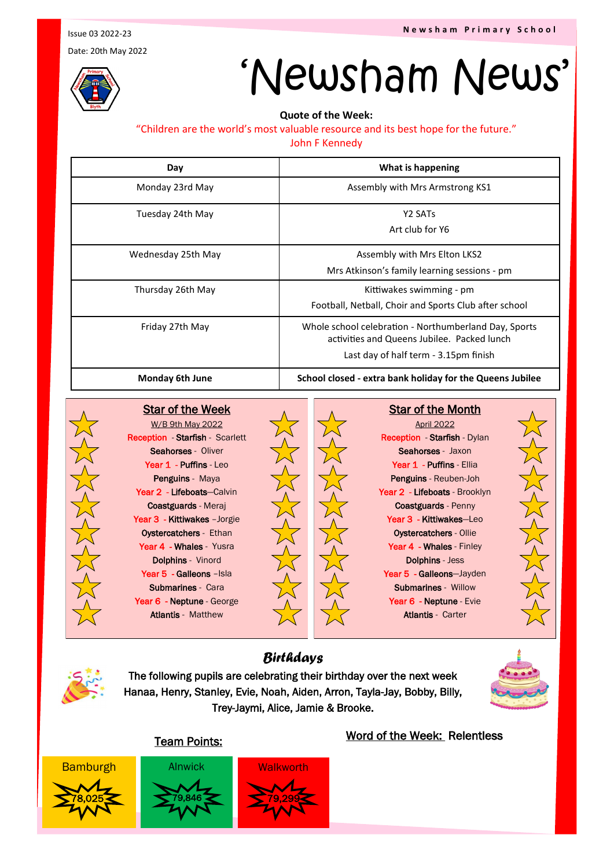Issue 03 2022-23

Date: 20th May 2022



# 'Newsham News'

**Quote of the Week:** 

#### "Children are the world's most valuable resource and its best hope for the future."

John F Kennedy

| Day                    | What is happening                                                                                                                             |
|------------------------|-----------------------------------------------------------------------------------------------------------------------------------------------|
| Monday 23rd May        | Assembly with Mrs Armstrong KS1                                                                                                               |
| Tuesday 24th May       | Y2 SATs<br>Art club for Y6                                                                                                                    |
| Wednesday 25th May     | Assembly with Mrs Elton LKS2<br>Mrs Atkinson's family learning sessions - pm                                                                  |
| Thursday 26th May      | Kittiwakes swimming - pm<br>Football, Netball, Choir and Sports Club after school                                                             |
| Friday 27th May        | Whole school celebration - Northumberland Day, Sports<br>activities and Queens Jubilee. Packed lunch<br>Last day of half term - 3.15pm finish |
| <b>Monday 6th June</b> | School closed - extra bank holiday for the Queens Jubilee                                                                                     |



Star of the Week W/B 9th May 2022 Reception - Starfish - Scarlett Seahorses - Oliver Year 1 - Puffins - Leo Penguins - Maya Year 2 - Lifeboats-Calvin Coastguards - Meraj Year 3 - Kittiwakes - Jorgie Oystercatchers - Ethan Year 4 - Whales - Yusra Dolphins - Vinord Year 5 - Galleons - Isla Submarines - Cara Year 6 - Neptune - George Atlantis - Matthew



**Star of the Month** 

April 2022 Reception - Starfish - Dylan Seahorses - Jaxon Year 1 - Puffins - Ellia Penguins - Reuben-Joh Year 2 - Lifeboats - Brooklyn Coastguards - Penny Year 3 - Kittiwakes-Leo Oystercatchers - Ollie Year 4 - Whales - Finley Dolphins - Jess Year 5 - Galleons-Jayden Submarines - Willow Year 6 - Neptune - Evie Atlantis - Carter



The following pupils are celebrating their birthday over the next week Hanaa, Henry, Stanley, Evie, Noah, Aiden, Arron, Tayla-Jay, Bobby, Billy, Trey-Jaymi, Alice, Jamie & Brooke.

*Birthdays*



### Team Points:



Bamburgh Alnwick Walkworth 78,025 79,846 79,846



### Word of the Week: Relentless